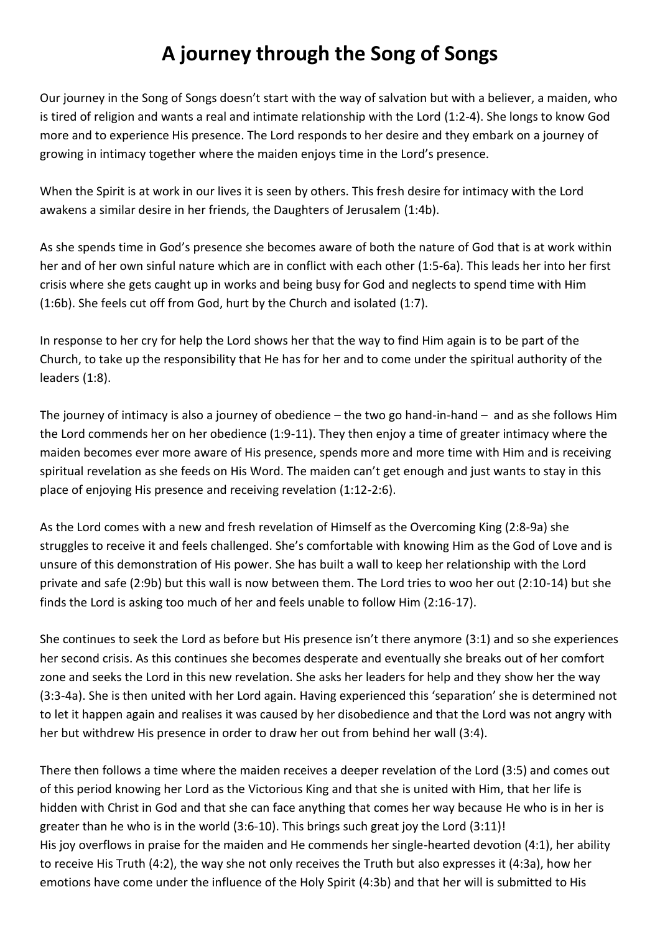## **A journey through the Song of Songs**

Our journey in the Song of Songs doesn't start with the way of salvation but with a believer, a maiden, who is tired of religion and wants a real and intimate relationship with the Lord (1:2-4). She longs to know God more and to experience His presence. The Lord responds to her desire and they embark on a journey of growing in intimacy together where the maiden enjoys time in the Lord's presence.

When the Spirit is at work in our lives it is seen by others. This fresh desire for intimacy with the Lord awakens a similar desire in her friends, the Daughters of Jerusalem (1:4b).

As she spends time in God's presence she becomes aware of both the nature of God that is at work within her and of her own sinful nature which are in conflict with each other (1:5-6a). This leads her into her first crisis where she gets caught up in works and being busy for God and neglects to spend time with Him (1:6b). She feels cut off from God, hurt by the Church and isolated (1:7).

In response to her cry for help the Lord shows her that the way to find Him again is to be part of the Church, to take up the responsibility that He has for her and to come under the spiritual authority of the leaders (1:8).

The journey of intimacy is also a journey of obedience – the two go hand-in-hand – and as she follows Him the Lord commends her on her obedience (1:9-11). They then enjoy a time of greater intimacy where the maiden becomes ever more aware of His presence, spends more and more time with Him and is receiving spiritual revelation as she feeds on His Word. The maiden can't get enough and just wants to stay in this place of enjoying His presence and receiving revelation (1:12-2:6).

As the Lord comes with a new and fresh revelation of Himself as the Overcoming King (2:8-9a) she struggles to receive it and feels challenged. She's comfortable with knowing Him as the God of Love and is unsure of this demonstration of His power. She has built a wall to keep her relationship with the Lord private and safe (2:9b) but this wall is now between them. The Lord tries to woo her out (2:10-14) but she finds the Lord is asking too much of her and feels unable to follow Him (2:16-17).

She continues to seek the Lord as before but His presence isn't there anymore (3:1) and so she experiences her second crisis. As this continues she becomes desperate and eventually she breaks out of her comfort zone and seeks the Lord in this new revelation. She asks her leaders for help and they show her the way (3:3-4a). She is then united with her Lord again. Having experienced this 'separation' she is determined not to let it happen again and realises it was caused by her disobedience and that the Lord was not angry with her but withdrew His presence in order to draw her out from behind her wall (3:4).

There then follows a time where the maiden receives a deeper revelation of the Lord (3:5) and comes out of this period knowing her Lord as the Victorious King and that she is united with Him, that her life is hidden with Christ in God and that she can face anything that comes her way because He who is in her is greater than he who is in the world (3:6-10). This brings such great joy the Lord (3:11)! His joy overflows in praise for the maiden and He commends her single-hearted devotion (4:1), her ability to receive His Truth (4:2), the way she not only receives the Truth but also expresses it (4:3a), how her emotions have come under the influence of the Holy Spirit (4:3b) and that her will is submitted to His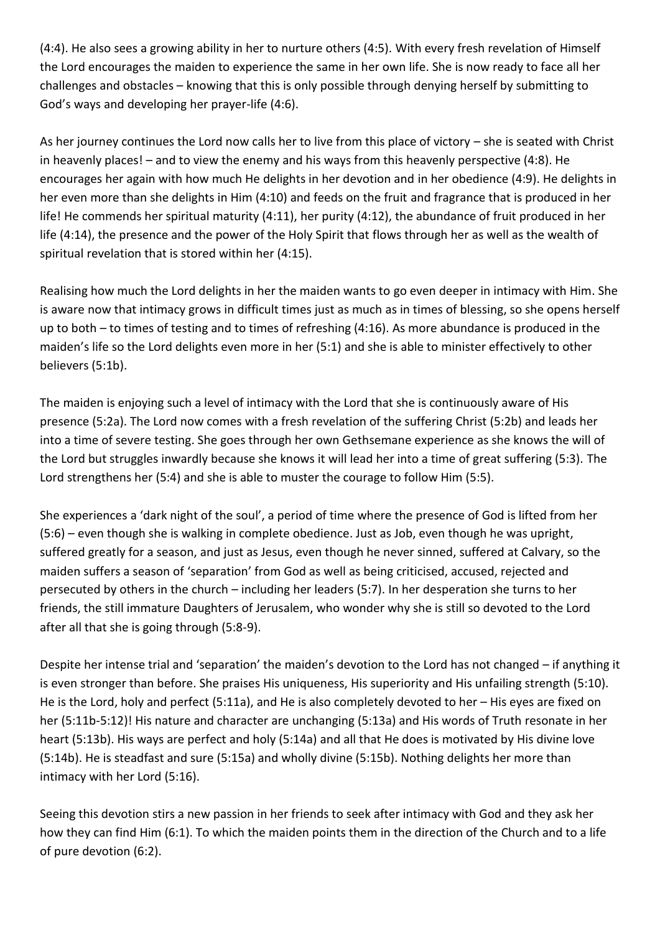(4:4). He also sees a growing ability in her to nurture others (4:5). With every fresh revelation of Himself the Lord encourages the maiden to experience the same in her own life. She is now ready to face all her challenges and obstacles – knowing that this is only possible through denying herself by submitting to God's ways and developing her prayer-life (4:6).

As her journey continues the Lord now calls her to live from this place of victory – she is seated with Christ in heavenly places! – and to view the enemy and his ways from this heavenly perspective (4:8). He encourages her again with how much He delights in her devotion and in her obedience (4:9). He delights in her even more than she delights in Him (4:10) and feeds on the fruit and fragrance that is produced in her life! He commends her spiritual maturity (4:11), her purity (4:12), the abundance of fruit produced in her life (4:14), the presence and the power of the Holy Spirit that flows through her as well as the wealth of spiritual revelation that is stored within her (4:15).

Realising how much the Lord delights in her the maiden wants to go even deeper in intimacy with Him. She is aware now that intimacy grows in difficult times just as much as in times of blessing, so she opens herself up to both – to times of testing and to times of refreshing (4:16). As more abundance is produced in the maiden's life so the Lord delights even more in her (5:1) and she is able to minister effectively to other believers (5:1b).

The maiden is enjoying such a level of intimacy with the Lord that she is continuously aware of His presence (5:2a). The Lord now comes with a fresh revelation of the suffering Christ (5:2b) and leads her into a time of severe testing. She goes through her own Gethsemane experience as she knows the will of the Lord but struggles inwardly because she knows it will lead her into a time of great suffering (5:3). The Lord strengthens her (5:4) and she is able to muster the courage to follow Him (5:5).

She experiences a 'dark night of the soul', a period of time where the presence of God is lifted from her (5:6) – even though she is walking in complete obedience. Just as Job, even though he was upright, suffered greatly for a season, and just as Jesus, even though he never sinned, suffered at Calvary, so the maiden suffers a season of 'separation' from God as well as being criticised, accused, rejected and persecuted by others in the church – including her leaders (5:7). In her desperation she turns to her friends, the still immature Daughters of Jerusalem, who wonder why she is still so devoted to the Lord after all that she is going through (5:8-9).

Despite her intense trial and 'separation' the maiden's devotion to the Lord has not changed – if anything it is even stronger than before. She praises His uniqueness, His superiority and His unfailing strength (5:10). He is the Lord, holy and perfect (5:11a), and He is also completely devoted to her – His eyes are fixed on her (5:11b-5:12)! His nature and character are unchanging (5:13a) and His words of Truth resonate in her heart (5:13b). His ways are perfect and holy (5:14a) and all that He does is motivated by His divine love (5:14b). He is steadfast and sure (5:15a) and wholly divine (5:15b). Nothing delights her more than intimacy with her Lord (5:16).

Seeing this devotion stirs a new passion in her friends to seek after intimacy with God and they ask her how they can find Him (6:1). To which the maiden points them in the direction of the Church and to a life of pure devotion (6:2).